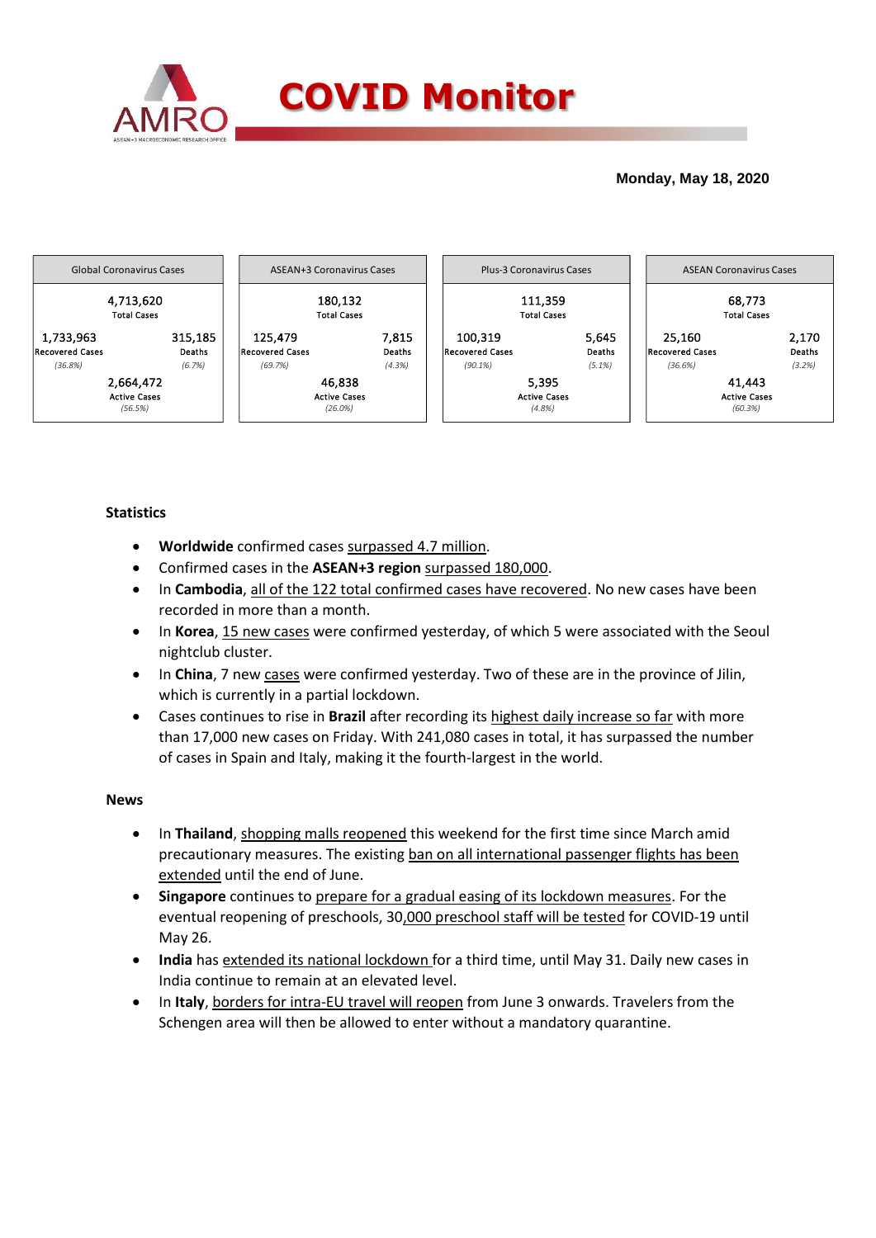

## **Monday, May 18, 2020**



## **Statistics**

- **Worldwide** confirmed cases surpassed 4.7 million.
- Confirmed cases in the **ASEAN+3 region** surpassed 180,000.
- In **Cambodia**, all of the 122 total confirmed cases have recovered. No new cases have been recorded in more than a month.
- In Korea, 15 new cases were confirmed yesterday, of which 5 were associated with the Seoul nightclub cluster.
- In China, 7 new cases were confirmed yesterday. Two of these are in the province of Jilin, which is currently in a partial lockdown.
- Cases continues to rise in **Brazil** after recording its highest daily increase so far with more than 17,000 new cases on Friday. With 241,080 cases in total, it has surpassed the number of cases in Spain and Italy, making it the fourth-largest in the world.

### **News**

- In **Thailand**, shopping malls reopened this weekend for the first time since March amid precautionary measures. The existing ban on all international passenger flights has been extended until the end of June.
- **Singapore** continues to prepare for a gradual easing of its lockdown measures. For the eventual reopening of preschools, 30,000 preschool staff will be tested for COVID-19 until May 26.
- **India** has extended its national lockdown for a third time, until May 31. Daily new cases in India continue to remain at an elevated level.
- In **Italy**, borders for intra-EU travel will reopen from June 3 onwards. Travelers from the Schengen area will then be allowed to enter without a mandatory quarantine.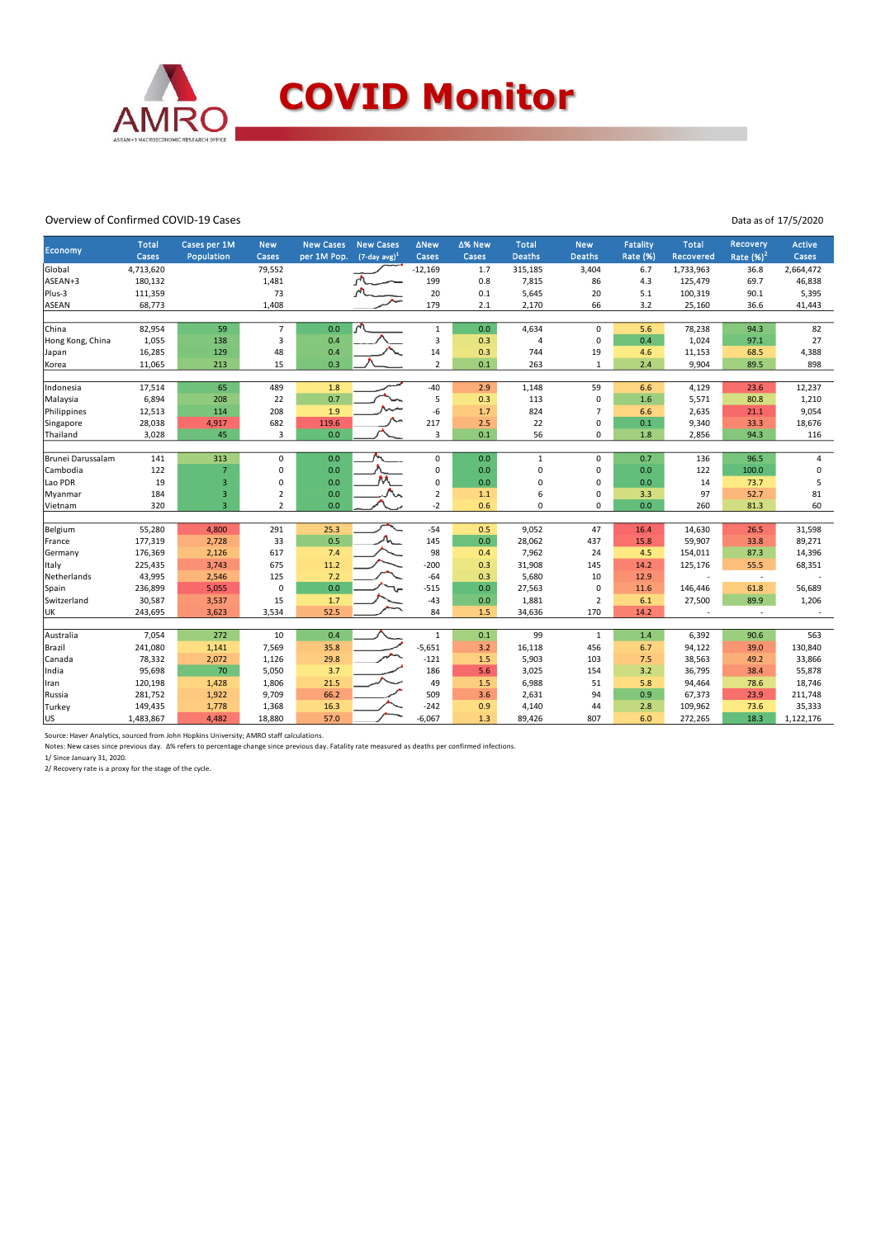

#### Overview of Confirmed COVID-19 Cases

Data as of 17/5/2020

|                   | <b>Total</b> | Cases per 1M   | <b>New</b>         | <b>New Cases</b> | <b>New Cases</b>    | <b>ANew</b>    | ∆% New     | <b>Total</b>   | <b>New</b>        | Fatality        | <b>Total</b> | Recovery                 | <b>Active</b>  |
|-------------------|--------------|----------------|--------------------|------------------|---------------------|----------------|------------|----------------|-------------------|-----------------|--------------|--------------------------|----------------|
| Economy           | Cases        | Population     | Cases              | per 1M Pop.      | $(7$ -day avg $)^1$ | Cases          | Cases      | <b>Deaths</b>  | <b>Deaths</b>     | <b>Rate (%)</b> | Recovered    | Rate $(%)2$              | Cases          |
| Global            | 4,713,620    |                | 79,552             |                  |                     | $-12,169$      | 1.7        | 315,185        | 3,404             | 6.7             | 1,733,963    | 36.8                     | 2,664,472      |
| ASEAN+3           | 180,132      |                | 1,481              |                  |                     | 199            | 0.8        | 7,815          | 86                | 4.3             | 125,479      | 69.7                     | 46,838         |
| Plus-3            | 111,359      |                | 73                 |                  |                     | 20             | 0.1        | 5,645          | 20                | 5.1             | 100,319      | 90.1                     | 5,395          |
| ASEAN             | 68,773       |                | 1,408              |                  |                     | 179            | 2.1        | 2,170          | 66                | 3.2             | 25,160       | 36.6                     | 41,443         |
|                   |              |                |                    |                  |                     |                |            |                |                   |                 |              |                          |                |
| China             | 82,954       | 59             | $\overline{7}$     | 0.0              | $\sqrt{ }$          | $\mathbf{1}$   | 0.0        | 4,634          | $\mathbf 0$       | 5.6             | 78,238       | 94.3                     | 82             |
| Hong Kong, China  | 1,055        | 138            | 3                  | 0.4              |                     | 3              | 0.3        | $\overline{4}$ | $\mathbf 0$       | 0.4             | 1,024        | 97.1                     | 27             |
| Japan             | 16,285       | 129            | 48                 | 0.4              |                     | 14             | 0.3        | 744            | 19                | 4.6             | 11,153       | 68.5                     | 4,388          |
| Korea             | 11,065       | 213            | 15                 | 0.3              |                     | $\overline{2}$ | 0.1        | 263            | $\mathbf{1}$      | 2.4             | 9,904        | 89.5                     | 898            |
|                   |              |                |                    |                  |                     |                |            |                |                   |                 |              |                          |                |
| Indonesia         | 17,514       | 65             | 489                | 1.8              |                     | $-40$          | 2.9        | 1,148          | 59                | 6.6             | 4,129        | 23.6                     | 12,237         |
| Malaysia          | 6,894        | 208            | 22                 | 0.7              |                     | 5              | 0.3        | 113            | $\mathbf 0$       | 1.6             | 5,571        | 80.8                     | 1,210          |
| Philippines       | 12,513       | 114            | 208                | 1.9              |                     | -6             | 1.7        | 824            | $\overline{7}$    | 6.6             | 2,635        | 21.1                     | 9,054          |
| Singapore         | 28,038       | 4,917          | 682                | 119.6            |                     | 217            | 2.5        | 22             | 0                 | 0.1             | 9,340        | 33.3                     | 18,676         |
| Thailand          | 3,028        | 45             | 3                  | 0.0              |                     | 3              | 0.1        | 56             | 0                 | 1.8             | 2,856        | 94.3                     | 116            |
|                   |              |                |                    |                  |                     |                |            |                |                   |                 |              |                          |                |
| Brunei Darussalam | 141          | 313            | 0                  | 0.0              |                     | $\mathsf 0$    | 0.0        | $\mathbf{1}$   | $\mathbf 0$       | 0.7             | 136          | 96.5                     | $\overline{a}$ |
| Cambodia          | 122          | $\overline{7}$ | 0                  | 0.0              |                     | 0              | 0.0        | $\overline{0}$ | 0                 | 0.0             | 122          | 100.0                    | 0              |
| Lao PDR           | 19           | 3              | $\pmb{0}$          | 0.0              |                     | 0              | 0.0        | $\Omega$       | $\mathbf 0$       | 0.0             | 14           | 73.7                     | 5              |
| Myanmar           | 184          | 3              | $\overline{2}$     | 0.0              |                     | $\overline{2}$ | 1.1        | 6              | 0                 | 3.3             | 97           | 52.7                     | 81             |
| Vietnam           | 320          | $\overline{3}$ | $\overline{2}$     | 0.0              |                     | $-2$           | 0.6        | 0              | $\mathbf 0$       | 0.0             | 260          | 81.3                     | 60             |
|                   |              |                |                    |                  |                     |                |            |                |                   |                 |              |                          |                |
| Belgium           | 55,280       | 4,800          | 291                | 25.3             |                     | $-54$          | 0.5        | 9,052          | 47                | 16.4            | 14,630       | 26.5                     | 31,598         |
| France            | 177,319      | 2,728          | 33                 | 0.5              |                     | 145            | 0.0        | 28,062         | 437               | 15.8            | 59,907       | 33.8                     | 89,271         |
| Germany           | 176,369      | 2,126          | 617                | 7.4              |                     | 98             | 0.4        | 7,962          | 24                | 4.5             | 154,011      | 87.3                     | 14,396         |
| Italy             | 225,435      | 3,743          | 675                | 11.2             |                     | $-200$         | 0.3        | 31,908         | 145               | 14.2            | 125,176      | 55.5                     | 68,351         |
| Netherlands       | 43,995       | 2,546          | 125<br>$\mathbf 0$ | 7.2<br>0.0       |                     | $-64$          | 0.3<br>0.0 | 5,680          | 10<br>$\mathbf 0$ | 12.9<br>11.6    |              | $\sim$<br>61.8           |                |
| Spain             | 236,899      | 5,055          |                    |                  |                     | $-515$         | 0.0        | 27,563         |                   |                 | 146,446      |                          | 56,689         |
| Switzerland       | 30,587       | 3,537          | 15                 | 1.7              |                     | $-43$<br>84    |            | 1,881          | $\overline{2}$    | 6.1             | 27,500       | 89.9                     | 1,206          |
| UK                | 243,695      | 3,623          | 3,534              | 52.5             |                     |                | 1.5        | 34,636         | 170               | 14.2            | $\sim$       | $\overline{\phantom{a}}$ |                |
| Australia         | 7,054        | 272            | 10                 | 0.4              |                     | $\mathbf 1$    | 0.1        | 99             | $\mathbf{1}$      | 1.4             | 6,392        | 90.6                     | 563            |
| Brazil            | 241,080      | 1,141          | 7,569              | 35.8             |                     | $-5,651$       | 3.2        | 16,118         | 456               | 6.7             | 94,122       | 39.0                     | 130,840        |
| Canada            | 78,332       | 2,072          | 1,126              | 29.8             |                     | $-121$         | 1.5        | 5,903          | 103               | 7.5             | 38,563       | 49.2                     | 33,866         |
| India             | 95,698       | 70             | 5,050              | 3.7              |                     | 186            | 5.6        | 3,025          | 154               | 3.2             | 36,795       | 38.4                     | 55,878         |
| Iran              | 120,198      | 1,428          | 1,806              | 21.5             |                     | 49             | 1.5        | 6,988          | 51                | 5.8             | 94,464       | 78.6                     | 18,746         |
| Russia            | 281,752      | 1,922          | 9,709              | 66.2             |                     | 509            | 3.6        | 2,631          | 94                | 0.9             | 67,373       | 23.9                     | 211,748        |
| Turkey            | 149,435      | 1,778          | 1,368              | 16.3             |                     | $-242$         | 0.9        | 4,140          | 44                | 2.8             | 109,962      | 73.6                     | 35,333         |
| US                | 1,483,867    | 4,482          | 18,880             | 57.0             |                     | $-6,067$       | 1.3        | 89,426         | 807               | 6.0             | 272,265      | 18.3                     | 1,122,176      |
|                   |              |                |                    |                  |                     |                |            |                |                   |                 |              |                          |                |

Source: Haver Analytics, sourced from John Hopkins University; AMRO staff calculations.

Notes: New cases since previous day. Δ% refers to percentage change since previous day. Fatality rate measured as deaths per confirmed infections.

1/ Since January 31, 2020. 2/ Recovery rate is a proxy for the stage of the cycle.